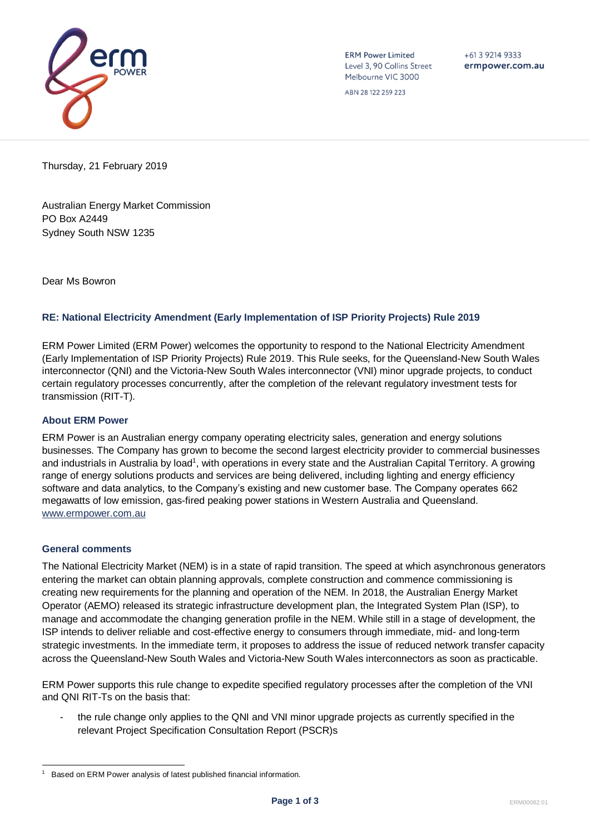

**ERM Power Limited** Level 3, 90 Collins Street Melbourne VIC 3000

ABN 28 122 259 223

 $+61392149333$ ermpower.com.au

Thursday, 21 February 2019

Australian Energy Market Commission PO Box A2449 Sydney South NSW 1235

Dear Ms Bowron

### **RE: National Electricity Amendment (Early Implementation of ISP Priority Projects) Rule 2019**

ERM Power Limited (ERM Power) welcomes the opportunity to respond to the National Electricity Amendment (Early Implementation of ISP Priority Projects) Rule 2019. This Rule seeks, for the Queensland-New South Wales interconnector (QNI) and the Victoria-New South Wales interconnector (VNI) minor upgrade projects, to conduct certain regulatory processes concurrently, after the completion of the relevant regulatory investment tests for transmission (RIT-T).

#### **About ERM Power**

ERM Power is an Australian energy company operating electricity sales, generation and energy solutions businesses. The Company has grown to become the second largest electricity provider to commercial businesses and industrials in Australia by load<sup>1</sup>, with operations in every state and the Australian Capital Territory. A growing range of energy solutions products and services are being delivered, including lighting and energy efficiency software and data analytics, to the Company's existing and new customer base. The Company operates 662 megawatts of low emission, gas-fired peaking power stations in Western Australia and Queensland. [www.ermpower.com.au](http://www.ermpower.com.au/)

#### **General comments**

The National Electricity Market (NEM) is in a state of rapid transition. The speed at which asynchronous generators entering the market can obtain planning approvals, complete construction and commence commissioning is creating new requirements for the planning and operation of the NEM. In 2018, the Australian Energy Market Operator (AEMO) released its strategic infrastructure development plan, the Integrated System Plan (ISP), to manage and accommodate the changing generation profile in the NEM. While still in a stage of development, the ISP intends to deliver reliable and cost-effective energy to consumers through immediate, mid- and long-term strategic investments. In the immediate term, it proposes to address the issue of reduced network transfer capacity across the Queensland-New South Wales and Victoria-New South Wales interconnectors as soon as practicable.

ERM Power supports this rule change to expedite specified regulatory processes after the completion of the VNI and QNI RIT-Ts on the basis that:

the rule change only applies to the QNI and VNI minor upgrade projects as currently specified in the relevant Project Specification Consultation Report (PSCR)s

l 1 Based on ERM Power analysis of latest published financial information.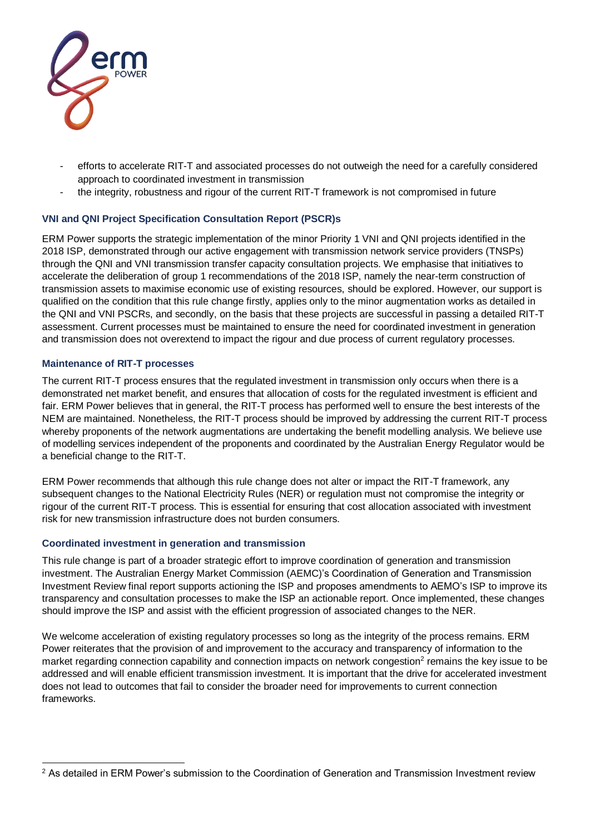

- efforts to accelerate RIT-T and associated processes do not outweigh the need for a carefully considered approach to coordinated investment in transmission
- the integrity, robustness and rigour of the current RIT-T framework is not compromised in future

## **VNI and QNI Project Specification Consultation Report (PSCR)s**

ERM Power supports the strategic implementation of the minor Priority 1 VNI and QNI projects identified in the 2018 ISP, demonstrated through our active engagement with transmission network service providers (TNSPs) through the QNI and VNI transmission transfer capacity consultation projects. We emphasise that initiatives to accelerate the deliberation of group 1 recommendations of the 2018 ISP, namely the near-term construction of transmission assets to maximise economic use of existing resources, should be explored. However, our support is qualified on the condition that this rule change firstly, applies only to the minor augmentation works as detailed in the QNI and VNI PSCRs, and secondly, on the basis that these projects are successful in passing a detailed RIT-T assessment. Current processes must be maintained to ensure the need for coordinated investment in generation and transmission does not overextend to impact the rigour and due process of current regulatory processes.

## **Maintenance of RIT-T processes**

The current RIT-T process ensures that the regulated investment in transmission only occurs when there is a demonstrated net market benefit, and ensures that allocation of costs for the regulated investment is efficient and fair. ERM Power believes that in general, the RIT-T process has performed well to ensure the best interests of the NEM are maintained. Nonetheless, the RIT-T process should be improved by addressing the current RIT-T process whereby proponents of the network augmentations are undertaking the benefit modelling analysis. We believe use of modelling services independent of the proponents and coordinated by the Australian Energy Regulator would be a beneficial change to the RIT-T.

ERM Power recommends that although this rule change does not alter or impact the RIT-T framework, any subsequent changes to the National Electricity Rules (NER) or regulation must not compromise the integrity or rigour of the current RIT-T process. This is essential for ensuring that cost allocation associated with investment risk for new transmission infrastructure does not burden consumers.

### **Coordinated investment in generation and transmission**

This rule change is part of a broader strategic effort to improve coordination of generation and transmission investment. The Australian Energy Market Commission (AEMC)'s Coordination of Generation and Transmission Investment Review final report supports actioning the ISP and proposes amendments to AEMO's ISP to improve its transparency and consultation processes to make the ISP an actionable report. Once implemented, these changes should improve the ISP and assist with the efficient progression of associated changes to the NER.

We welcome acceleration of existing regulatory processes so long as the integrity of the process remains. ERM Power reiterates that the provision of and improvement to the accuracy and transparency of information to the market regarding connection capability and connection impacts on network congestion<sup>2</sup> remains the key issue to be addressed and will enable efficient transmission investment. It is important that the drive for accelerated investment does not lead to outcomes that fail to consider the broader need for improvements to current connection frameworks.

l <sup>2</sup> As detailed in ERM Power's submission to the Coordination of Generation and Transmission Investment review